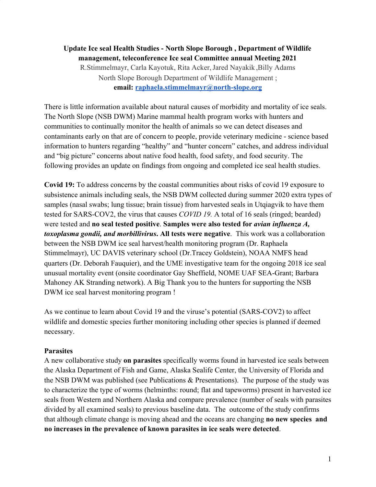# **Update Ice seal Health Studies - North Slope Borough , Department of Wildlife management, teleconference Ice seal Committee annual Meeting 2021** R.Stimmelmayr, Carla Kayotuk, Rita Acker,Jared Nayakik ,Billy Adams North Slope Borough Department of Wildlife Management ; **email: [raphaela.stimmelmayr@north-slope.org](mailto:raphaela.stimmelmayr@north-slope.org)**

There is little information available about natural causes of morbidity and mortality of ice seals. The North Slope (NSB DWM) Marine mammal health program works with hunters and communities to continually monitor the health of animals so we can detect diseases and contaminants early on that are of concern to people, provide veterinary medicine - science based information to hunters regarding "healthy" and "hunter concern" catches, and address individual and "big picture" concerns about native food health, food safety, and food security. The following provides an update on findings from ongoing and completed ice seal health studies.

**Covid 19:** To address concerns by the coastal communities about risks of covid 19 exposure to subsistence animals including seals, the NSB DWM collected during summer 2020 extra types of samples (nasal swabs; lung tissue; brain tissue) from harvested seals in Utqiagvik to have them tested for SARS-COV2, the virus that causes *COVID 19.* A total of 16 seals (ringed; bearded) were tested and **no seal tested positive**. **Samples were also tested for** *avian influenza A, toxoplasma gondii, and morbillivirus***. All tests were negative**. This work was a collaboration between the NSB DWM ice seal harvest/health monitoring program (Dr. Raphaela Stimmelmayr), UC DAVIS veterinary school (Dr.Tracey Goldstein), NOAA NMFS head quarters (Dr. Deborah Fauquier), and the UME investigative team for the ongoing 2018 ice seal unusual mortality event (onsite coordinator Gay Sheffield, NOME UAF SEA-Grant; Barbara Mahoney AK Stranding network). A Big Thank you to the hunters for supporting the NSB DWM ice seal harvest monitoring program !

As we continue to learn about Covid 19 and the viruse's potential (SARS-COV2) to affect wildlife and domestic species further monitoring including other species is planned if deemed necessary.

## **Parasites**

A new collaborative study **on parasites** specifically worms found in harvested ice seals between the Alaska Department of Fish and Game, Alaska Sealife Center, the University of Florida and the NSB DWM was published (see Publications & Presentations). The purpose of the study was to characterize the type of worms (helminths: round; flat and tapeworms) present in harvested ice seals from Western and Northern Alaska and compare prevalence (number of seals with parasites divided by all examined seals) to previous baseline data. The outcome of the study confirms that although climate change is moving ahead and the oceans are changing **no new species and no increases in the prevalence of known parasites in ice seals were detected**.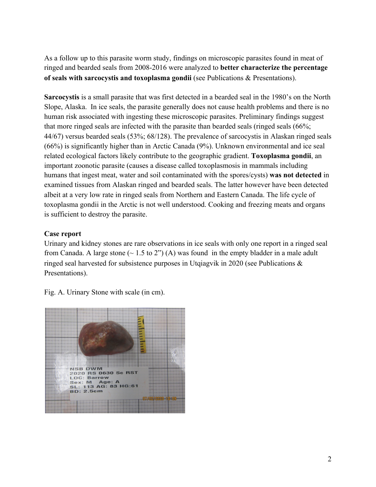As a follow up to this parasite worm study, findings on microscopic parasites found in meat of ringed and bearded seals from 2008-2016 were analyzed to **better characterize the percentage of seals with sarcocystis and toxoplasma gondii** (see Publications & Presentations).

**Sarcocystis** is a small parasite that was first detected in a bearded seal in the 1980's on the North Slope, Alaska. In ice seals, the parasite generally does not cause health problems and there is no human risk associated with ingesting these microscopic parasites. Preliminary findings suggest that more ringed seals are infected with the parasite than bearded seals (ringed seals (66%; 44/67) versus bearded seals (53%; 68/128). The prevalence of sarcocystis in Alaskan ringed seals (66%) is significantly higher than in Arctic Canada (9%). Unknown environmental and ice seal related ecological factors likely contribute to the geographic gradient. **Toxoplasma gondii**, an important zoonotic parasite (causes a disease called toxoplasmosis in mammals including humans that ingest meat, water and soil contaminated with the spores/cysts) **was not detected** in examined tissues from Alaskan ringed and bearded seals. The latter however have been detected albeit at a very low rate in ringed seals from Northern and Eastern Canada. The life cycle of toxoplasma gondii in the Arctic is not well understood. Cooking and freezing meats and organs is sufficient to destroy the parasite.

## **Case report**

Urinary and kidney stones are rare observations in ice seals with only one report in a ringed seal from Canada. A large stone  $(\sim 1.5 \text{ to } 2)$  (A) was found in the empty bladder in a male adult ringed seal harvested for subsistence purposes in Utqiagvik in 2020 (see Publications & Presentations).



Fig. A. Urinary Stone with scale (in cm).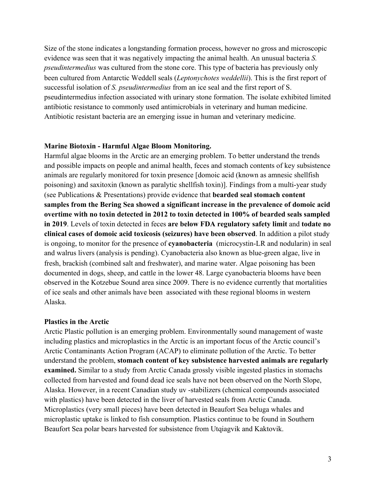Size of the stone indicates a longstanding formation process, however no gross and microscopic evidence was seen that it was negatively impacting the animal health. An unusual bacteria *S. pseudintermedius* was cultured from the stone core. This type of bacteria has previously only been cultured from Antarctic Weddell seals (*Leptonychotes weddellii*). This is the first report of successful isolation of *S. pseudintermedius* from an ice seal and the first report of S. pseudintermedius infection associated with urinary stone formation. The isolate exhibited limited antibiotic resistance to commonly used antimicrobials in veterinary and human medicine. Antibiotic resistant bacteria are an emerging issue in human and veterinary medicine.

### **Marine Biotoxin - Harmful Algae Bloom Monitoring.**

Harmful algae blooms in the Arctic are an emerging problem. To better understand the trends and possible impacts on people and animal health, feces and stomach contents of key subsistence animals are regularly monitored for toxin presence [domoic acid (known as amnesic shellfish poisoning) and saxitoxin (known as paralytic shellfish toxin)]. Findings from a multi-year study (see Publications & Presentations) provide evidence that **bearded seal stomach content samples from the Bering Sea showed a significant increase in the prevalence of domoic acid overtime with no toxin detected in 2012 to toxin detected in 100% of bearded seals sampled in 2019**. Levels of toxin detected in feces **are below FDA regulatory safety limit** and **todate no clinical cases of domoic acid toxicosis (seizures) have been observed**. In addition a pilot study is ongoing, to monitor for the presence of **cyanobacteria** (microcystin-LR and nodularin) in seal and walrus livers (analysis is pending). Cyanobacteria also known as blue-green algae, live in fresh, brackish (combined salt and freshwater), and marine water. Algae poisoning has been documented in dogs, sheep, and cattle in the lower 48. Large cyanobacteria blooms have been observed in the Kotzebue Sound area since 2009. There is no evidence currently that mortalities of ice seals and other animals have been associated with these regional blooms in western Alaska.

#### **Plastics in the Arctic**

Arctic Plastic pollution is an emerging problem. Environmentally sound management of waste including plastics and microplastics in the Arctic is an important focus of the Arctic council's Arctic Contaminants Action Program (ACAP) to eliminate pollution of the Arctic. To better understand the problem, **stomach content of key subsistence harvested animals are regularly examined.** Similar to a study from Arctic Canada grossly visible ingested plastics in stomachs collected from harvested and found dead ice seals have not been observed on the North Slope, Alaska. However, in a recent Canadian study uv -stabilizers (chemical compounds associated with plastics) have been detected in the liver of harvested seals from Arctic Canada. Microplastics (very small pieces) have been detected in Beaufort Sea beluga whales and microplastic uptake is linked to fish consumption. Plastics continue to be found in Southern Beaufort Sea polar bears harvested for subsistence from Utqiagvik and Kaktovik.